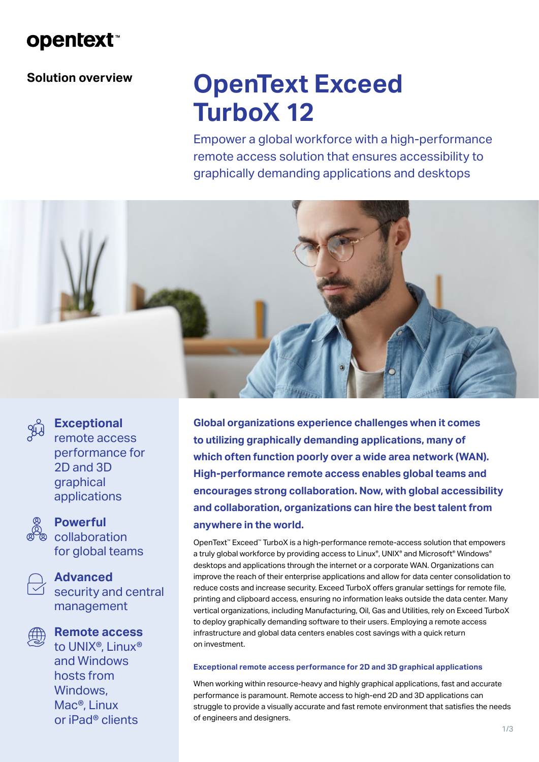# **opentext**

### **Solution overview**

# **OpenText Exceed TurboX 12**

Empower a global workforce with a high-performance remote access solution that ensures accessibility to graphically demanding applications and desktops





### **Exceptional**

remote access performance for 2D and 3D graphical applications



### **Powerful**

<sup>2</sup> collaboration for global teams



#### **Advanced**

security and central management



### **Remote access**

to UNIX®, Linux® and Windows hosts from Windows, Mac®, Linux or iPad® clients

**Global organizations experience challenges when it comes to utilizing graphically demanding applications, many of which often function poorly over a wide area network (WAN). High-performance remote access enables global teams and encourages strong collaboration. Now, with global accessibility and collaboration, organizations can hire the best talent from anywhere in the world.**

OpenText™ Exceed™ TurboX is a high-performance remote-access solution that empowers a truly global workforce by providing access to Linux®, UNIX® and Microsoft® Windows® desktops and applications through the internet or a corporate WAN. Organizations can improve the reach of their enterprise applications and allow for data center consolidation to reduce costs and increase security. Exceed TurboX offers granular settings for remote file, printing and clipboard access, ensuring no information leaks outside the data center. Many vertical organizations, including Manufacturing, Oil, Gas and Utilities, rely on Exceed TurboX to deploy graphically demanding software to their users. Employing a remote access infrastructure and global data centers enables cost savings with a quick return on investment.

#### **Exceptional remote access performance for 2D and 3D graphical applications**

When working within resource-heavy and highly graphical applications, fast and accurate performance is paramount. Remote access to high-end 2D and 3D applications can struggle to provide a visually accurate and fast remote environment that satisfies the needs of engineers and designers.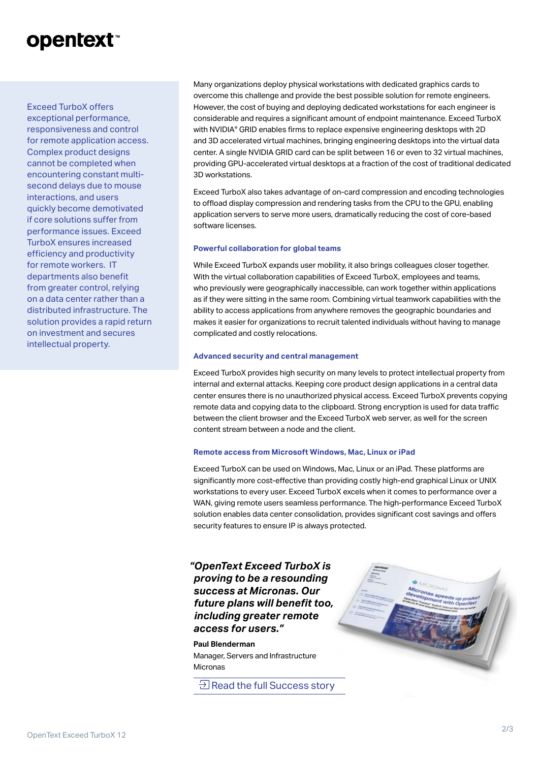# **opentext**™

Exceed TurboX offers exceptional performance, responsiveness and control for remote application access. Complex product designs cannot be completed when encountering constant multisecond delays due to mouse interactions, and users quickly become demotivated if core solutions suffer from performance issues. Exceed TurboX ensures increased efficiency and productivity for remote workers. IT departments also benefit from greater control, relying on a data center rather than a distributed infrastructure. The solution provides a rapid return on investment and secures intellectual property.

Many organizations deploy physical workstations with dedicated graphics cards to overcome this challenge and provide the best possible solution for remote engineers. However, the cost of buying and deploying dedicated workstations for each engineer is considerable and requires a significant amount of endpoint maintenance. Exceed TurboX with NVIDIA® GRID enables firms to replace expensive engineering desktops with 2D and 3D accelerated virtual machines, bringing engineering desktops into the virtual data center. A single NVIDIA GRID card can be split between 16 or even to 32 virtual machines, providing GPU-accelerated virtual desktops at a fraction of the cost of traditional dedicated 3D workstations.

Exceed TurboX also takes advantage of on-card compression and encoding technologies to offload display compression and rendering tasks from the CPU to the GPU, enabling application servers to serve more users, dramatically reducing the cost of core-based software licenses.

#### **Powerful collaboration for global teams**

While Exceed TurboX expands user mobility, it also brings colleagues closer together. With the virtual collaboration capabilities of Exceed TurboX, employees and teams, who previously were geographically inaccessible, can work together within applications as if they were sitting in the same room. Combining virtual teamwork capabilities with the ability to access applications from anywhere removes the geographic boundaries and makes it easier for organizations to recruit talented individuals without having to manage complicated and costly relocations.

#### **Advanced security and central management**

Exceed TurboX provides high security on many levels to protect intellectual property from internal and external attacks. Keeping core product design applications in a central data center ensures there is no unauthorized physical access. Exceed TurboX prevents copying remote data and copying data to the clipboard. Strong encryption is used for data traffic between the client browser and the Exceed TurboX web server, as well for the screen content stream between a node and the client.

#### **Remote access from Microsoft Windows, Mac, Linux or iPad**

Exceed TurboX can be used on Windows, Mac, Linux or an iPad. These platforms are significantly more cost-effective than providing costly high-end graphical Linux or UNIX workstations to every user. Exceed TurboX excels when it comes to performance over a WAN, giving remote users seamless performance. The high-performance Exceed TurboX solution enables data center consolidation, provides significant cost savings and offers security features to ensure IP is always protected.

*"OpenText Exceed TurboX is proving to be a resounding success at Micronas. Our future plans will benefit too, including greater remote access for users."*

**Paul Blenderman** Manager, Servers and Infrastructure Micronas

**E** [Read the full Success story](https://www.opentext.com/customer-stories/customer-story-detail?id=1230)